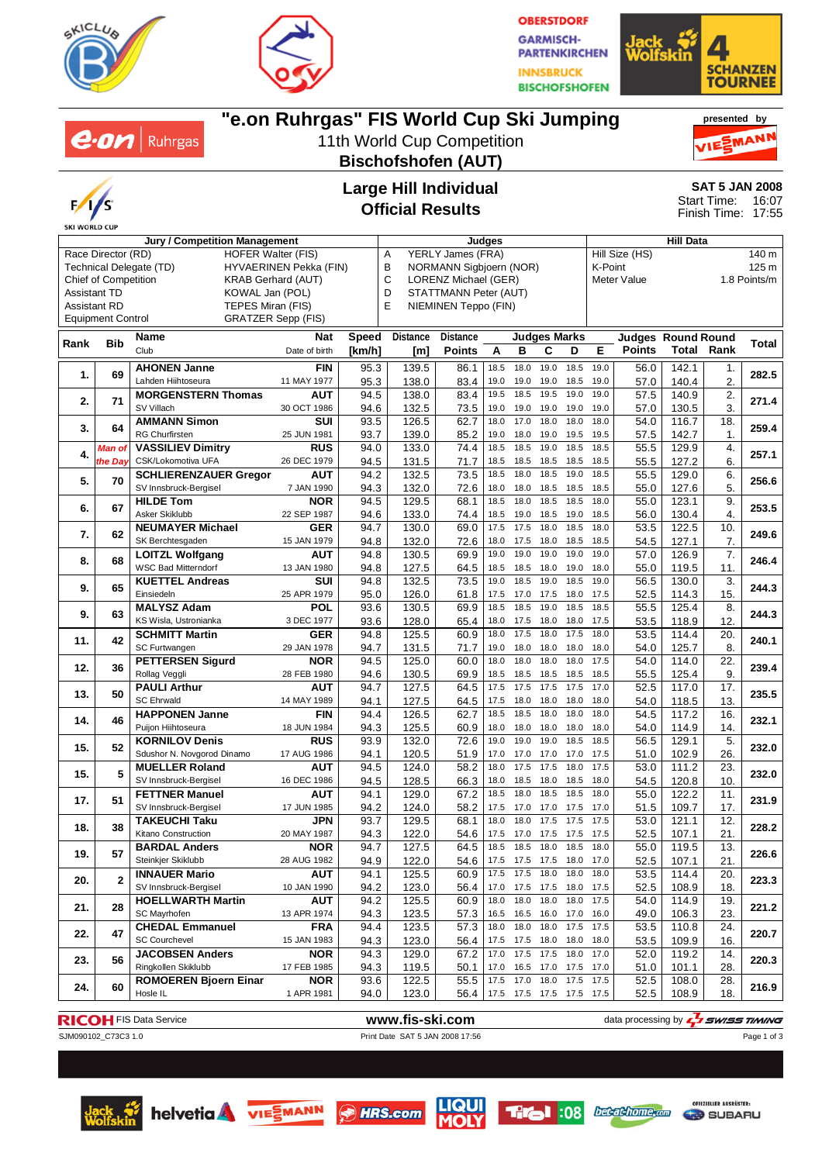

**SKI WORLD CUP** 

 $e$ *on* | Ruhrgas

Race Director (RD) HOFER Walter (FIS) Technical Delegate (TD) HYVAERINEN Pekka (FIN) Chief of Competition KRAB Gerhard (AUT)



**OBERSTDORF GARMISCH-PARTENKIRCHEN INNSBRUCK BISCHOFSHOFEN** 



#### **"e.on Ruhrgas" FIS World Cup Ski Jumping presented by** 11th World Cup Competition MANI **Bischofshofen (AUT) Large Hill Individual SAT 5 JAN 2008** Start Time: 16:07 **Official Results** Finish Time: 17:55 **Jury / Competition Management Judges Hill Data** A YERLY James (FRA) Hill Size (HS) 140 m B NORMANN Sigbjoern (NOR) K-Point 125 m C LORENZ Michael (GER) Meter Value 1.8 Points/m D STATTMANN Peter (AUT) E NIEMINEN Teppo (FIN)





Page 1 of 3













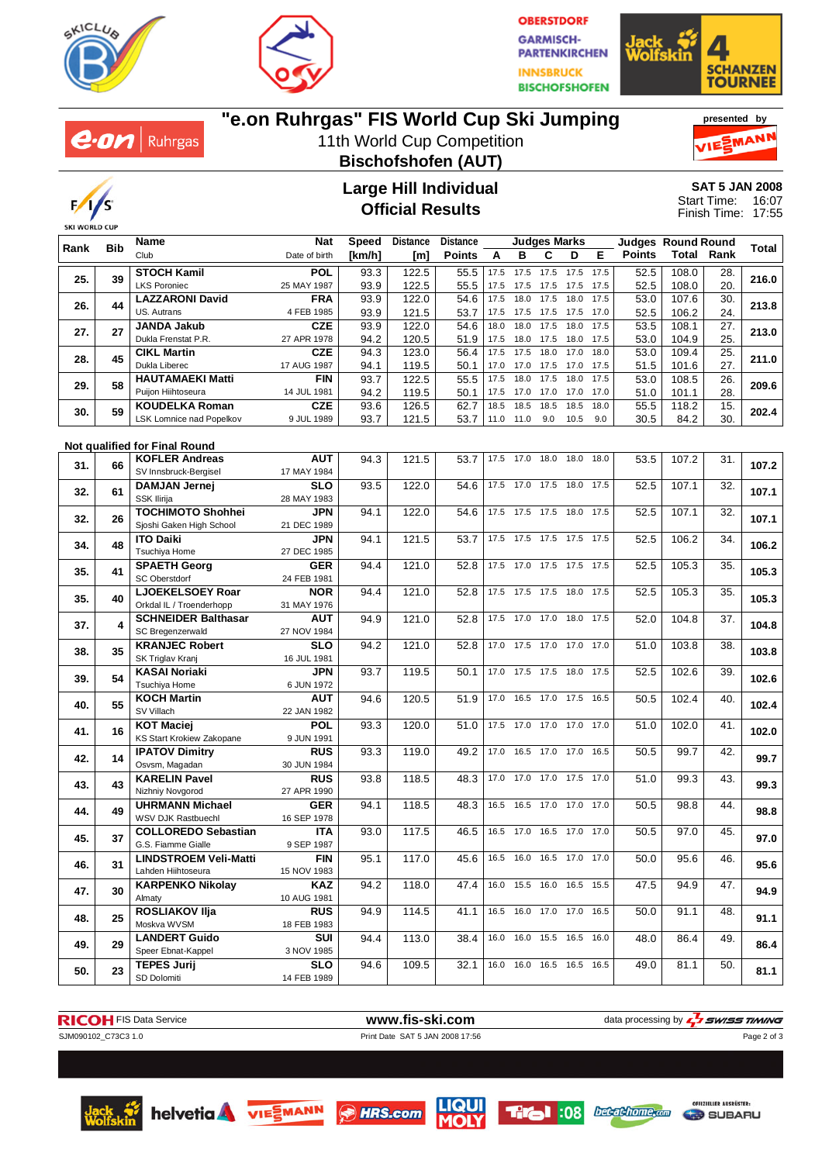



**OBERSTDORF GARMISCH-PARTENKIRCHEN INNSBRUCK BISCHOFSHOFEN** 





## **"e.on Ruhrgas" FIS World Cup Ski Jumping**

11th World Cup Competition **Bischofshofen (AUT)**





#### **Large Hill Individual Official Results**

**SAT 5 JAN 2008** 16:07 17:55 Start Time: Finish Time:

|      |     | <b>Name</b>                   | <b>Nat</b>    | Speed  | <b>Distance</b> | <b>Distance</b> |      |                | <b>Judges Marks</b>      |           |      | <b>Judges Round Round</b> |       |      |       |
|------|-----|-------------------------------|---------------|--------|-----------------|-----------------|------|----------------|--------------------------|-----------|------|---------------------------|-------|------|-------|
| Rank | Bib | Club                          | Date of birth | [km/h] | [m]             | <b>Points</b>   | A    | в              | С                        | D         | Е    | <b>Points</b>             | Total | Rank | Total |
|      |     | <b>STOCH Kamil</b>            | <b>POL</b>    | 93.3   | 122.5           | 55.5            | 17.5 | 17.5           | 17.5                     | 17.5 17.5 |      | 52.5                      | 108.0 | 28.  |       |
| 25.  | 39  | <b>LKS Poroniec</b>           |               |        |                 |                 |      |                |                          |           |      |                           |       |      | 216.0 |
|      |     |                               | 25 MAY 1987   | 93.9   | 122.5           | 55.5            | 17.5 | 17.5           | 17.5                     | 17.5      | 17.5 | 52.5                      | 108.0 | 20.  |       |
| 26.  | 44  | <b>LAZZARONI David</b>        | <b>FRA</b>    | 93.9   | 122.0           | 54.6            | 17.5 | 18.0           | 17.5                     | 18.0      | 17.5 | 53.0                      | 107.6 | 30.  | 213.8 |
|      |     | US. Autrans                   | 4 FEB 1985    | 93.9   | 121.5           | 53.7            | 17.5 | 17.5           | 17.5                     | 17.5      | 17.0 | 52.5                      | 106.2 | 24.  |       |
| 27.  | 27  | <b>JANDA Jakub</b>            | <b>CZE</b>    | 93.9   | 122.0           | 54.6            | 18.0 | 18.0           | 17.5                     | 18.0      | 17.5 | 53.5                      | 108.1 | 27.  | 213.0 |
|      |     | Dukla Frenstat P.R.           | 27 APR 1978   | 94.2   | 120.5           | 51.9            | 17.5 | 18.0           | 17.5                     | 18.0 17.5 |      | 53.0                      | 104.9 | 25.  |       |
| 28.  | 45  | <b>CIKL Martin</b>            | <b>CZE</b>    | 94.3   | 123.0           | 56.4            | 17.5 | 17.5           | 18.0                     | 17.0      | 18.0 | 53.0                      | 109.4 | 25.  | 211.0 |
|      |     | Dukla Liberec                 | 17 AUG 1987   | 94.1   | 119.5           | 50.1            | 17.0 | 17.0           | 17.5                     | 17.0 17.5 |      | 51.5                      | 101.6 | 27.  |       |
|      |     | <b>HAUTAMAEKI Matti</b>       | <b>FIN</b>    | 93.7   | 122.5           | 55.5            | 17.5 | 18.0           | 17.5                     | 18.0      | 17.5 | 53.0                      | 108.5 | 26.  |       |
| 29.  | 58  | Puijon Hiihtoseura            | 14 JUL 1981   | 94.2   | 119.5           | 50.1            | 17.5 | 17.0           | 17.0                     | 17.0      | 17.0 | 51.0                      | 101.1 | 28.  | 209.6 |
|      |     | <b>KOUDELKA Roman</b>         | <b>CZE</b>    | 93.6   | 126.5           | 62.7            | 18.5 | 18.5           | 18.5                     | 18.5      | 18.0 | 55.5                      | 118.2 | 15.  |       |
| 30.  | 59  | LSK Lomnice nad Popelkov      | 9 JUL 1989    | 93.7   | 121.5           | 53.7            | 11.0 | 11.0           | 9.0                      | 10.5      | 9.0  | 30.5                      | 84.2  | 30.  | 202.4 |
|      |     |                               |               |        |                 |                 |      |                |                          |           |      |                           |       |      |       |
|      |     | Not qualified for Final Round |               |        |                 |                 |      |                |                          |           |      |                           |       |      |       |
|      |     | <b>KOFLER Andreas</b>         | <b>AUT</b>    | 94.3   | 121.5           | 53.7            |      | 17.5 17.0      | 18.0                     | 18.0      | 18.0 | 53.5                      | 107.2 | 31.  |       |
| 31.  | 66  | SV Innsbruck-Bergisel         | 17 MAY 1984   |        |                 |                 |      |                |                          |           |      |                           |       |      | 107.2 |
|      |     | DAMJAN Jernej                 | <b>SLO</b>    | 93.5   | 122.0           | 54.6            | 17.5 | 17.0           | 17.5                     | 18.0      | 17.5 | 52.5                      | 107.1 | 32.  |       |
| 32.  | 61  | SSK Ilirija                   | 28 MAY 1983   |        |                 |                 |      |                |                          |           |      |                           |       |      | 107.1 |
|      |     | <b>TOCHIMOTO Shohhei</b>      | <b>JPN</b>    | 94.1   | 122.0           | 54.6            |      | 17.5 17.5 17.5 |                          | 18.0 17.5 |      | 52.5                      | 107.1 | 32.  |       |
| 32.  | 26  | Sjoshi Gaken High School      | 21 DEC 1989   |        |                 |                 |      |                |                          |           |      |                           |       |      | 107.1 |
|      |     | <b>ITO Daiki</b>              |               |        | 121.5           |                 |      |                | 17.5 17.5 17.5 17.5 17.5 |           |      |                           | 106.2 | 34.  |       |
| 34.  | 48  |                               | <b>JPN</b>    | 94.1   |                 | 53.7            |      |                |                          |           |      | 52.5                      |       |      | 106.2 |
|      |     | Tsuchiya Home                 | 27 DEC 1985   |        |                 |                 |      |                |                          |           |      |                           |       |      |       |
| 35.  | 41  | <b>SPAETH Georg</b>           | <b>GER</b>    | 94.4   | 121.0           | 52.8            | 17.5 | 17.0           | 17.5                     | 17.5 17.5 |      | 52.5                      | 105.3 | 35.  | 105.3 |
|      |     | SC Oberstdorf                 | 24 FEB 1981   |        |                 |                 |      |                |                          |           |      |                           |       |      |       |
| 35.  | 40  | <b>LJOEKELSOEY Roar</b>       | <b>NOR</b>    | 94.4   | 121.0           | 52.8            | 17.5 | 17.5 17.5      |                          | 18.0 17.5 |      | 52.5                      | 105.3 | 35.  | 105.3 |
|      |     | Orkdal IL / Troenderhopp      | 31 MAY 1976   |        |                 |                 |      |                |                          |           |      |                           |       |      |       |
| 37.  | 4   | <b>SCHNEIDER Balthasar</b>    | <b>AUT</b>    | 94.9   | 121.0           | 52.8            | 17.5 | 17.0 17.0      |                          | 18.0 17.5 |      | 52.0                      | 104.8 | 37.  | 104.8 |
|      |     | SC Bregenzerwald              | 27 NOV 1984   |        |                 |                 |      |                |                          |           |      |                           |       |      |       |
| 38.  | 35  | <b>KRANJEC Robert</b>         | <b>SLO</b>    | 94.2   | 121.0           | 52.8            |      | 17.0 17.5 17.0 |                          | 17.0 17.0 |      | 51.0                      | 103.8 | 38.  | 103.8 |
|      |     | SK Triglav Kranj              | 16 JUL 1981   |        |                 |                 |      |                |                          |           |      |                           |       |      |       |
| 39.  | 54  | <b>KASAI Noriaki</b>          | <b>JPN</b>    | 93.7   | 119.5           | 50.1            | 17.0 | 17.5 17.5      |                          | 18.0 17.5 |      | 52.5                      | 102.6 | 39.  | 102.6 |
|      |     | Tsuchiya Home                 | 6 JUN 1972    |        |                 |                 |      |                |                          |           |      |                           |       |      |       |
|      | 55  | <b>KOCH Martin</b>            | AUT           | 94.6   | 120.5           | 51.9            | 17.0 | 16.5           | 17.0                     | 17.5 16.5 |      | 50.5                      | 102.4 | 40.  | 102.4 |
| 40.  |     | SV Villach                    | 22 JAN 1982   |        |                 |                 |      |                |                          |           |      |                           |       |      |       |
|      |     | <b>KOT Maciej</b>             | <b>POL</b>    | 93.3   | 120.0           | 51.0            | 17.5 | 17.0           | 17.0                     | 17.0 17.0 |      | 51.0                      | 102.0 | 41.  |       |
| 41.  | 16  | KS Start Krokiew Zakopane     | 9 JUN 1991    |        |                 |                 |      |                |                          |           |      |                           |       |      | 102.0 |
|      |     | <b>IPATOV Dimitry</b>         | <b>RUS</b>    | 93.3   | 119.0           | 49.2            | 17.0 |                | 16.5 17.0                | 17.0 16.5 |      | 50.5                      | 99.7  | 42.  |       |
| 42.  | 14  | Osvsm, Magadan                | 30 JUN 1984   |        |                 |                 |      |                |                          |           |      |                           |       |      | 99.7  |
|      |     | <b>KARELIN Pavel</b>          | <b>RUS</b>    | 93.8   | 118.5           | 48.3            |      | 17.0 17.0 17.0 |                          | 17.5 17.0 |      | 51.0                      | 99.3  | 43.  |       |
| 43.  | 43  | Nizhniy Novgorod              | 27 APR 1990   |        |                 |                 |      |                |                          |           |      |                           |       |      | 99.3  |
|      |     | <b>UHRMANN Michael</b>        | <b>GER</b>    | 94.1   | 118.5           | 48.3            | 16.5 |                | 16.5 17.0 17.0 17.0      |           |      | 50.5                      | 98.8  | 44.  |       |
| 44.  | 49  | WSV DJK Rastbuechl            | 16 SEP 1978   |        |                 |                 |      |                |                          |           |      |                           |       |      | 98.8  |
|      |     | <b>COLLOREDO Sebastian</b>    | <b>ITA</b>    | 93.0   | 117.5           | 46.5            |      |                | 16.5 17.0 16.5 17.0 17.0 |           |      | 50.5                      | 97.0  | 45.  |       |
| 45.  | 37  | G.S. Fiamme Gialle            | 9 SEP 1987    |        |                 |                 |      |                |                          |           |      |                           |       |      | 97.0  |
| 46.  |     | <b>LINDSTROEM Veli-Matti</b>  | <b>FIN</b>    | 95.1   | 117.0           | 45.6            |      |                | 16.5 16.0 16.5 17.0 17.0 |           |      | 50.0                      | 95.6  | 46.  |       |
|      | 31  | Lahden Hiihtoseura            |               |        |                 |                 |      |                |                          |           |      |                           |       |      | 95.6  |
|      |     |                               | 15 NOV 1983   |        |                 |                 |      |                | 16.0 15.5 16.0 16.5 15.5 |           |      |                           |       |      |       |
| 47.  | 30  | <b>KARPENKO Nikolay</b>       | KAZ           | 94.2   | 118.0           | 47.4            |      |                |                          |           |      | 47.5                      | 94.9  | 47.  | 94.9  |
|      |     | Almaty                        | 10 AUG 1981   |        |                 |                 |      |                |                          |           |      |                           |       |      |       |
| 48.  | 25  | <b>ROSLIAKOV IIja</b>         | <b>RUS</b>    | 94.9   | 114.5           | 41.1            |      |                | 16.5 16.0 17.0 17.0 16.5 |           |      | 50.0                      | 91.1  | 48.  | 91.1  |
|      |     | Moskva WVSM                   | 18 FEB 1983   |        |                 |                 |      |                |                          |           |      |                           |       |      |       |
| 49.  | 29  | <b>LANDERT Guido</b>          | SUI           | 94.4   | 113.0           | 38.4            | 16.0 |                | 16.0 15.5 16.5 16.0      |           |      | 48.0                      | 86.4  | 49.  | 86.4  |
|      |     | Speer Ebnat-Kappel            | 3 NOV 1985    |        |                 |                 |      |                |                          |           |      |                           |       |      |       |
| 50.  | 23  | <b>TEPES Jurij</b>            | <b>SLO</b>    | 94.6   | 109.5           | 32.1            |      |                | 16.0 16.0 16.5 16.5 16.5 |           |      | 49.0                      | 81.1  | 50.  | 81.1  |
|      |     | SD Dolomiti                   | 14 FEB 1989   |        |                 |                 |      |                |                          |           |      |                           |       |      |       |



Page 2 of 3